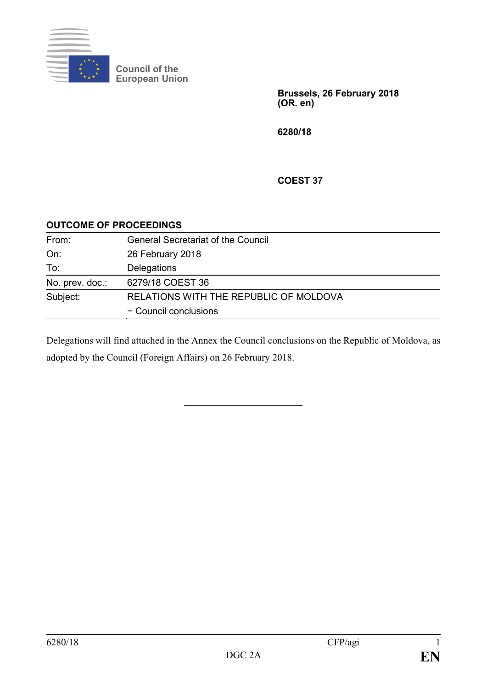

**Council of the European Union**

> **Brussels, 26 February 2018 (OR. en)**

**6280/18**

**COEST 37**

## **OUTCOME OF PROCEEDINGS**

| From:           | <b>General Secretariat of the Council</b> |
|-----------------|-------------------------------------------|
| On:             | 26 February 2018                          |
| To:             | Delegations                               |
| No. prev. doc.: | 6279/18 COEST 36                          |
| Subject:        | RELATIONS WITH THE REPUBLIC OF MOLDOVA    |
|                 | - Council conclusions                     |

Delegations will find attached in the Annex the Council conclusions on the Republic of Moldova, as adopted by the Council (Foreign Affairs) on 26 February 2018.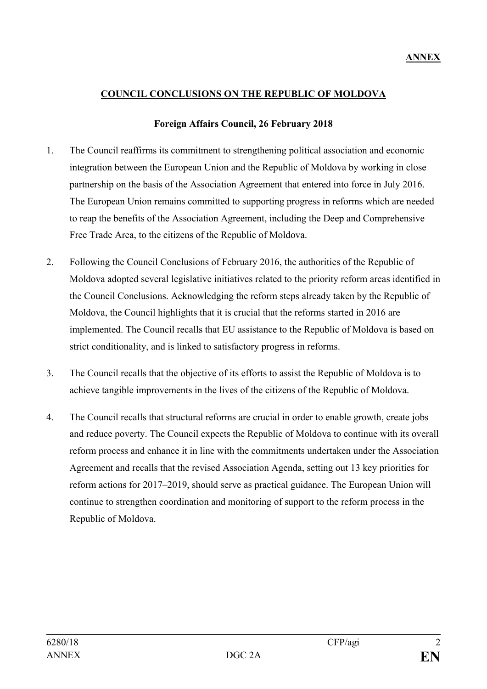## **COUNCIL CONCLUSIONS ON THE REPUBLIC OF MOLDOVA**

## **Foreign Affairs Council, 26 February 2018**

- 1. The Council reaffirms its commitment to strengthening political association and economic integration between the European Union and the Republic of Moldova by working in close partnership on the basis of the Association Agreement that entered into force in July 2016. The European Union remains committed to supporting progress in reforms which are needed to reap the benefits of the Association Agreement, including the Deep and Comprehensive Free Trade Area, to the citizens of the Republic of Moldova.
- 2. Following the Council Conclusions of February 2016, the authorities of the Republic of Moldova adopted several legislative initiatives related to the priority reform areas identified in the Council Conclusions. Acknowledging the reform steps already taken by the Republic of Moldova, the Council highlights that it is crucial that the reforms started in 2016 are implemented. The Council recalls that EU assistance to the Republic of Moldova is based on strict conditionality, and is linked to satisfactory progress in reforms.
- 3. The Council recalls that the objective of its efforts to assist the Republic of Moldova is to achieve tangible improvements in the lives of the citizens of the Republic of Moldova.
- 4. The Council recalls that structural reforms are crucial in order to enable growth, create jobs and reduce poverty. The Council expects the Republic of Moldova to continue with its overall reform process and enhance it in line with the commitments undertaken under the Association Agreement and recalls that the revised Association Agenda, setting out 13 key priorities for reform actions for 2017–2019, should serve as practical guidance. The European Union will continue to strengthen coordination and monitoring of support to the reform process in the Republic of Moldova.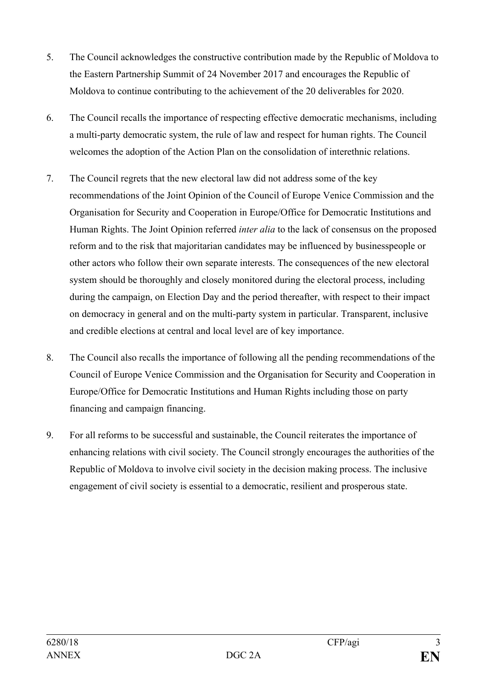- 5. The Council acknowledges the constructive contribution made by the Republic of Moldova to the Eastern Partnership Summit of 24 November 2017 and encourages the Republic of Moldova to continue contributing to the achievement of the 20 deliverables for 2020.
- 6. The Council recalls the importance of respecting effective democratic mechanisms, including a multi-party democratic system, the rule of law and respect for human rights. The Council welcomes the adoption of the Action Plan on the consolidation of interethnic relations.
- 7. The Council regrets that the new electoral law did not address some of the key recommendations of the Joint Opinion of the Council of Europe Venice Commission and the Organisation for Security and Cooperation in Europe/Office for Democratic Institutions and Human Rights. The Joint Opinion referred *inter alia* to the lack of consensus on the proposed reform and to the risk that majoritarian candidates may be influenced by businesspeople or other actors who follow their own separate interests. The consequences of the new electoral system should be thoroughly and closely monitored during the electoral process, including during the campaign, on Election Day and the period thereafter, with respect to their impact on democracy in general and on the multi-party system in particular. Transparent, inclusive and credible elections at central and local level are of key importance.
- 8. The Council also recalls the importance of following all the pending recommendations of the Council of Europe Venice Commission and the Organisation for Security and Cooperation in Europe/Office for Democratic Institutions and Human Rights including those on party financing and campaign financing.
- 9. For all reforms to be successful and sustainable, the Council reiterates the importance of enhancing relations with civil society. The Council strongly encourages the authorities of the Republic of Moldova to involve civil society in the decision making process. The inclusive engagement of civil society is essential to a democratic, resilient and prosperous state.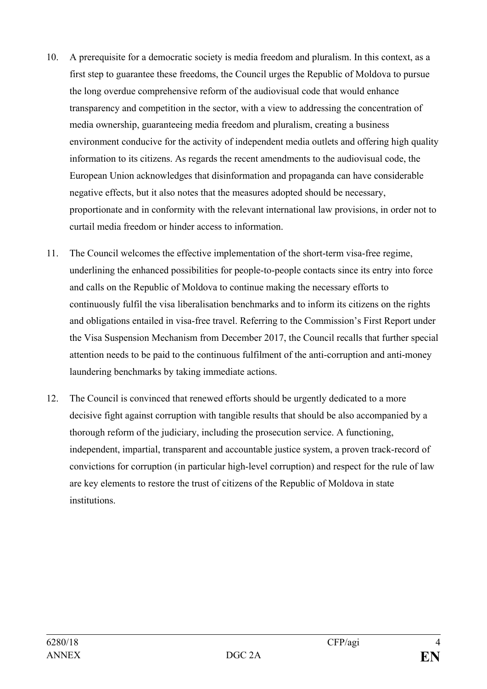- 10. A prerequisite for a democratic society is media freedom and pluralism. In this context, as a first step to guarantee these freedoms, the Council urges the Republic of Moldova to pursue the long overdue comprehensive reform of the audiovisual code that would enhance transparency and competition in the sector, with a view to addressing the concentration of media ownership, guaranteeing media freedom and pluralism, creating a business environment conducive for the activity of independent media outlets and offering high quality information to its citizens. As regards the recent amendments to the audiovisual code, the European Union acknowledges that disinformation and propaganda can have considerable negative effects, but it also notes that the measures adopted should be necessary, proportionate and in conformity with the relevant international law provisions, in order not to curtail media freedom or hinder access to information.
- 11. The Council welcomes the effective implementation of the short-term visa-free regime, underlining the enhanced possibilities for people-to-people contacts since its entry into force and calls on the Republic of Moldova to continue making the necessary efforts to continuously fulfil the visa liberalisation benchmarks and to inform its citizens on the rights and obligations entailed in visa-free travel. Referring to the Commission's First Report under the Visa Suspension Mechanism from December 2017, the Council recalls that further special attention needs to be paid to the continuous fulfilment of the anti-corruption and anti-money laundering benchmarks by taking immediate actions.
- 12. The Council is convinced that renewed efforts should be urgently dedicated to a more decisive fight against corruption with tangible results that should be also accompanied by a thorough reform of the judiciary, including the prosecution service. A functioning, independent, impartial, transparent and accountable justice system, a proven track-record of convictions for corruption (in particular high-level corruption) and respect for the rule of law are key elements to restore the trust of citizens of the Republic of Moldova in state institutions.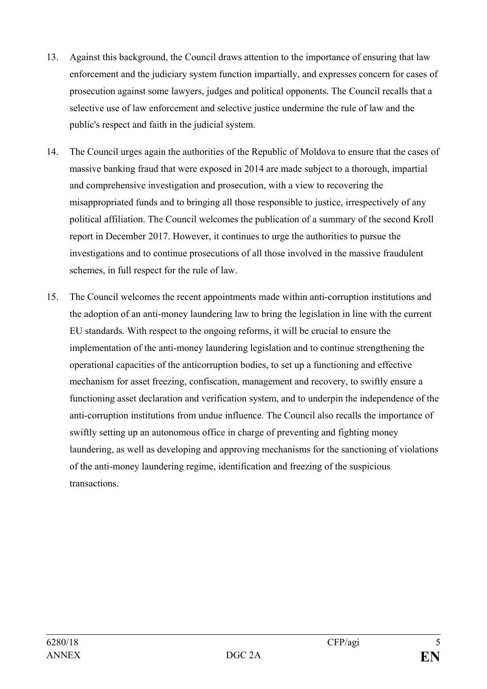- 13. Against this background, the Council draws attention to the importance of ensuring that law enforcement and the judiciary system function impartially, and expresses concern for cases of prosecution against some lawyers, judges and political opponents. The Council recalls that a selective use of law enforcement and selective justice undermine the rule of law and the public's respect and faith in the judicial system.
- 14. The Council urges again the authorities of the Republic of Moldova to ensure that the cases of massive banking fraud that were exposed in 2014 are made subject to a thorough, impartial and comprehensive investigation and prosecution, with a view to recovering the misappropriated funds and to bringing all those responsible to justice, irrespectively of any political affiliation. The Council welcomes the publication of a summary of the second Kroll report in December 2017. However, it continues to urge the authorities to pursue the investigations and to continue prosecutions of all those involved in the massive fraudulent schemes, in full respect for the rule of law.
- 15. The Council welcomes the recent appointments made within anti-corruption institutions and the adoption of an anti-money laundering law to bring the legislation in line with the current EU standards. With respect to the ongoing reforms, it will be crucial to ensure the implementation of the anti-money laundering legislation and to continue strengthening the operational capacities of the anticorruption bodies, to set up a functioning and effective mechanism for asset freezing, confiscation, management and recovery, to swiftly ensure a functioning asset declaration and verification system, and to underpin the independence of the anti-corruption institutions from undue influence. The Council also recalls the importance of swiftly setting up an autonomous office in charge of preventing and fighting money laundering, as well as developing and approving mechanisms for the sanctioning of violations of the anti-money laundering regime, identification and freezing of the suspicious transactions.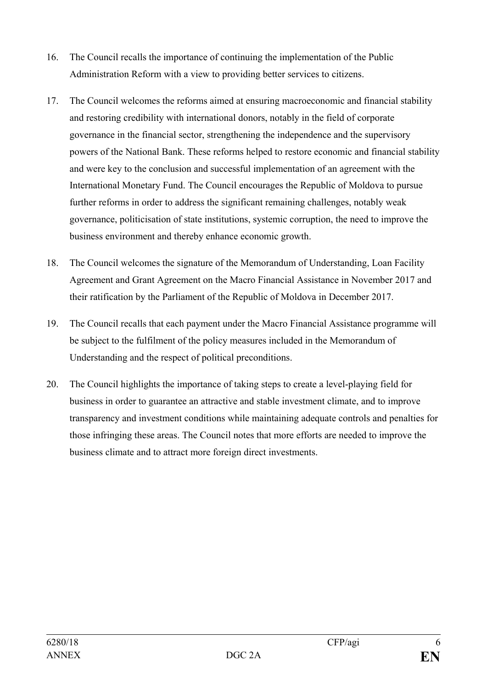- 16. The Council recalls the importance of continuing the implementation of the Public Administration Reform with a view to providing better services to citizens.
- 17. The Council welcomes the reforms aimed at ensuring macroeconomic and financial stability and restoring credibility with international donors, notably in the field of corporate governance in the financial sector, strengthening the independence and the supervisory powers of the National Bank. These reforms helped to restore economic and financial stability and were key to the conclusion and successful implementation of an agreement with the International Monetary Fund. The Council encourages the Republic of Moldova to pursue further reforms in order to address the significant remaining challenges, notably weak governance, politicisation of state institutions, systemic corruption, the need to improve the business environment and thereby enhance economic growth.
- 18. The Council welcomes the signature of the Memorandum of Understanding, Loan Facility Agreement and Grant Agreement on the Macro Financial Assistance in November 2017 and their ratification by the Parliament of the Republic of Moldova in December 2017.
- 19. The Council recalls that each payment under the Macro Financial Assistance programme will be subject to the fulfilment of the policy measures included in the Memorandum of Understanding and the respect of political preconditions.
- 20. The Council highlights the importance of taking steps to create a level-playing field for business in order to guarantee an attractive and stable investment climate, and to improve transparency and investment conditions while maintaining adequate controls and penalties for those infringing these areas. The Council notes that more efforts are needed to improve the business climate and to attract more foreign direct investments.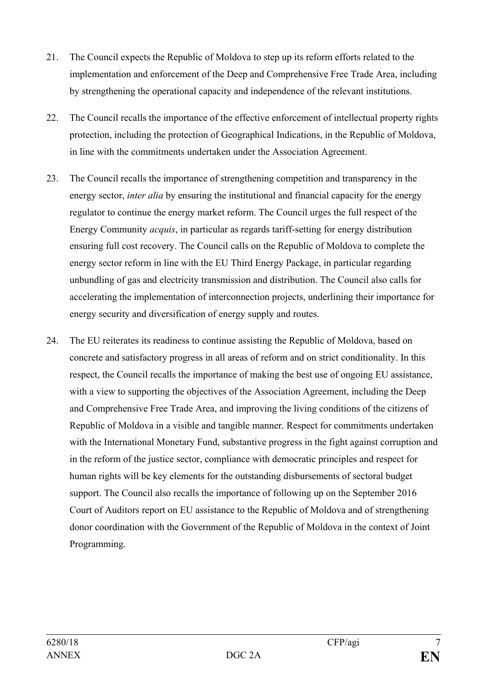- 21. The Council expects the Republic of Moldova to step up its reform efforts related to the implementation and enforcement of the Deep and Comprehensive Free Trade Area, including by strengthening the operational capacity and independence of the relevant institutions.
- 22. The Council recalls the importance of the effective enforcement of intellectual property rights protection, including the protection of Geographical Indications, in the Republic of Moldova, in line with the commitments undertaken under the Association Agreement.
- 23. The Council recalls the importance of strengthening competition and transparency in the energy sector, *inter alia* by ensuring the institutional and financial capacity for the energy regulator to continue the energy market reform. The Council urges the full respect of the Energy Community *acquis*, in particular as regards tariff-setting for energy distribution ensuring full cost recovery. The Council calls on the Republic of Moldova to complete the energy sector reform in line with the EU Third Energy Package, in particular regarding unbundling of gas and electricity transmission and distribution. The Council also calls for accelerating the implementation of interconnection projects, underlining their importance for energy security and diversification of energy supply and routes.
- 24. The EU reiterates its readiness to continue assisting the Republic of Moldova, based on concrete and satisfactory progress in all areas of reform and on strict conditionality. In this respect, the Council recalls the importance of making the best use of ongoing EU assistance, with a view to supporting the objectives of the Association Agreement, including the Deep and Comprehensive Free Trade Area, and improving the living conditions of the citizens of Republic of Moldova in a visible and tangible manner. Respect for commitments undertaken with the International Monetary Fund, substantive progress in the fight against corruption and in the reform of the justice sector, compliance with democratic principles and respect for human rights will be key elements for the outstanding disbursements of sectoral budget support. The Council also recalls the importance of following up on the September 2016 Court of Auditors report on EU assistance to the Republic of Moldova and of strengthening donor coordination with the Government of the Republic of Moldova in the context of Joint Programming.